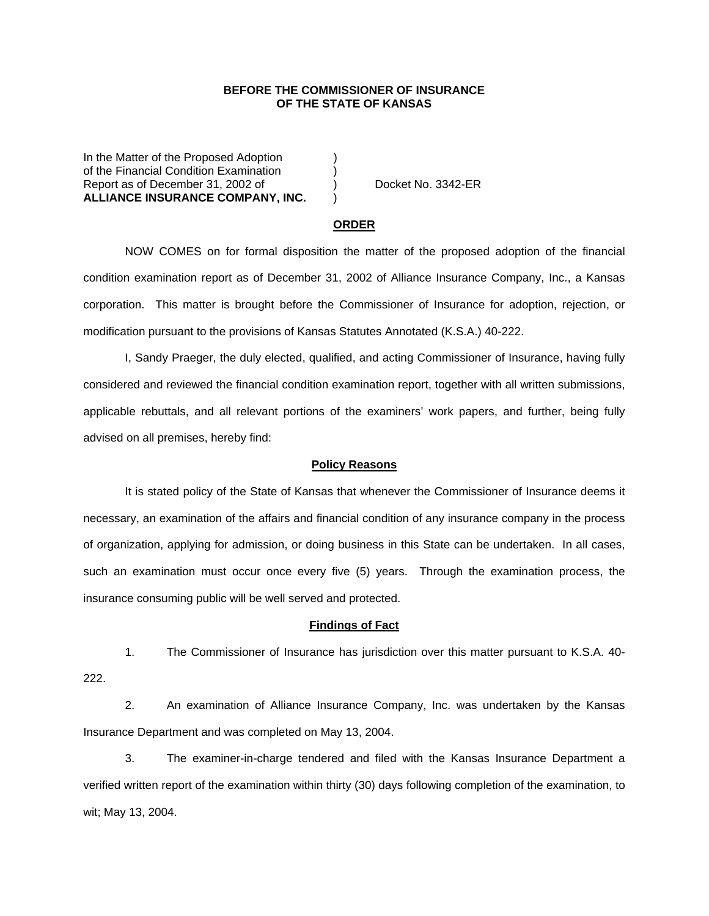## **BEFORE THE COMMISSIONER OF INSURANCE OF THE STATE OF KANSAS**

In the Matter of the Proposed Adoption of the Financial Condition Examination (apport as of December 31, 2002 of (b) Report as of December 31, 2002 of  $\overrightarrow{)}$  Docket No. 3342-ER **ALLIANCE INSURANCE COMPANY, INC.** )

#### **ORDER**

 NOW COMES on for formal disposition the matter of the proposed adoption of the financial condition examination report as of December 31, 2002 of Alliance Insurance Company, Inc., a Kansas corporation. This matter is brought before the Commissioner of Insurance for adoption, rejection, or modification pursuant to the provisions of Kansas Statutes Annotated (K.S.A.) 40-222.

 I, Sandy Praeger, the duly elected, qualified, and acting Commissioner of Insurance, having fully considered and reviewed the financial condition examination report, together with all written submissions, applicable rebuttals, and all relevant portions of the examiners' work papers, and further, being fully advised on all premises, hereby find:

### **Policy Reasons**

 It is stated policy of the State of Kansas that whenever the Commissioner of Insurance deems it necessary, an examination of the affairs and financial condition of any insurance company in the process of organization, applying for admission, or doing business in this State can be undertaken. In all cases, such an examination must occur once every five (5) years. Through the examination process, the insurance consuming public will be well served and protected.

#### **Findings of Fact**

 1. The Commissioner of Insurance has jurisdiction over this matter pursuant to K.S.A. 40- 222.

 2. An examination of Alliance Insurance Company, Inc. was undertaken by the Kansas Insurance Department and was completed on May 13, 2004.

 3. The examiner-in-charge tendered and filed with the Kansas Insurance Department a verified written report of the examination within thirty (30) days following completion of the examination, to wit; May 13, 2004.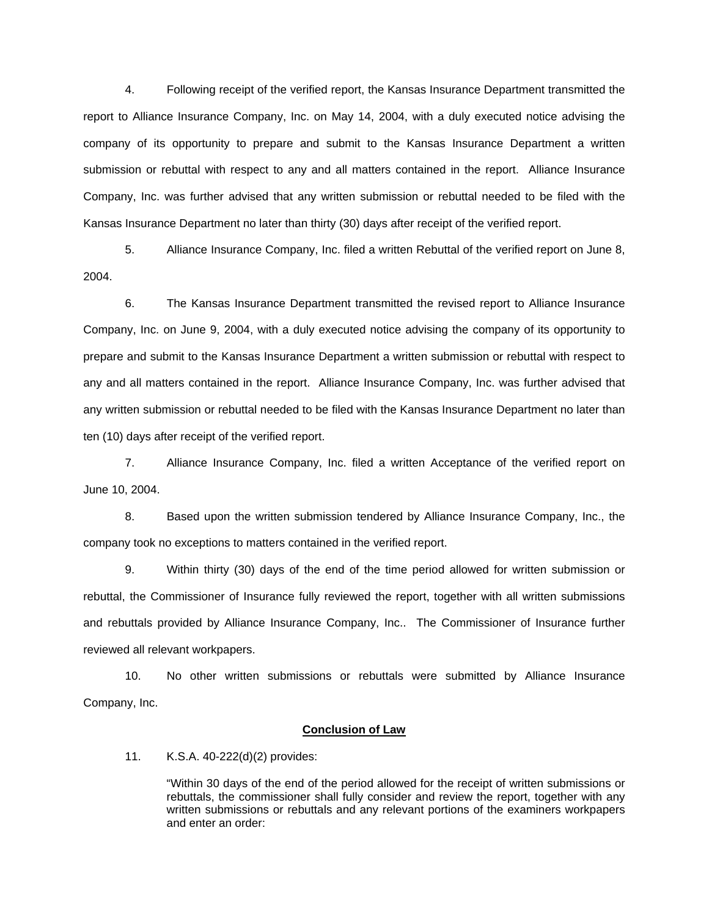4. Following receipt of the verified report, the Kansas Insurance Department transmitted the report to Alliance Insurance Company, Inc. on May 14, 2004, with a duly executed notice advising the company of its opportunity to prepare and submit to the Kansas Insurance Department a written submission or rebuttal with respect to any and all matters contained in the report. Alliance Insurance Company, Inc. was further advised that any written submission or rebuttal needed to be filed with the Kansas Insurance Department no later than thirty (30) days after receipt of the verified report.

 5. Alliance Insurance Company, Inc. filed a written Rebuttal of the verified report on June 8, 2004.

6. The Kansas Insurance Department transmitted the revised report to Alliance Insurance Company, Inc. on June 9, 2004, with a duly executed notice advising the company of its opportunity to prepare and submit to the Kansas Insurance Department a written submission or rebuttal with respect to any and all matters contained in the report. Alliance Insurance Company, Inc. was further advised that any written submission or rebuttal needed to be filed with the Kansas Insurance Department no later than ten (10) days after receipt of the verified report.

 7. Alliance Insurance Company, Inc. filed a written Acceptance of the verified report on June 10, 2004.

 8. Based upon the written submission tendered by Alliance Insurance Company, Inc., the company took no exceptions to matters contained in the verified report.

 9. Within thirty (30) days of the end of the time period allowed for written submission or rebuttal, the Commissioner of Insurance fully reviewed the report, together with all written submissions and rebuttals provided by Alliance Insurance Company, Inc.. The Commissioner of Insurance further reviewed all relevant workpapers.

 10. No other written submissions or rebuttals were submitted by Alliance Insurance Company, Inc.

#### **Conclusion of Law**

11. K.S.A. 40-222(d)(2) provides:

"Within 30 days of the end of the period allowed for the receipt of written submissions or rebuttals, the commissioner shall fully consider and review the report, together with any written submissions or rebuttals and any relevant portions of the examiners workpapers and enter an order: